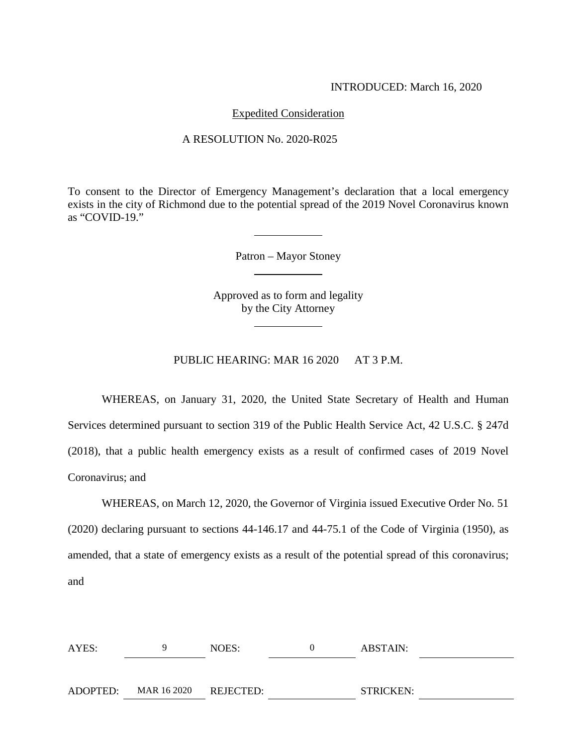### INTRODUCED: March 16, 2020

# Expedited Consideration

#### A RESOLUTION No. 2020-R025

To consent to the Director of Emergency Management's declaration that a local emergency exists in the city of Richmond due to the potential spread of the 2019 Novel Coronavirus known as "COVID-19."

Patron – Mayor Stoney

Approved as to form and legality by the City Attorney

PUBLIC HEARING: MAR 16 2020 AT 3 P.M.

WHEREAS, on January 31, 2020, the United State Secretary of Health and Human Services determined pursuant to section 319 of the Public Health Service Act, 42 U.S.C. § 247d (2018), that a public health emergency exists as a result of confirmed cases of 2019 Novel Coronavirus; and

WHEREAS, on March 12, 2020, the Governor of Virginia issued Executive Order No. 51 (2020) declaring pursuant to sections 44-146.17 and 44-75.1 of the Code of Virginia (1950), as amended, that a state of emergency exists as a result of the potential spread of this coronavirus; and

| AYES:    |                       | NOES: | ABSTAIN:         |  |
|----------|-----------------------|-------|------------------|--|
|          |                       |       |                  |  |
| ADOPTED: | MAR 16 2020 REJECTED: |       | <b>STRICKEN:</b> |  |